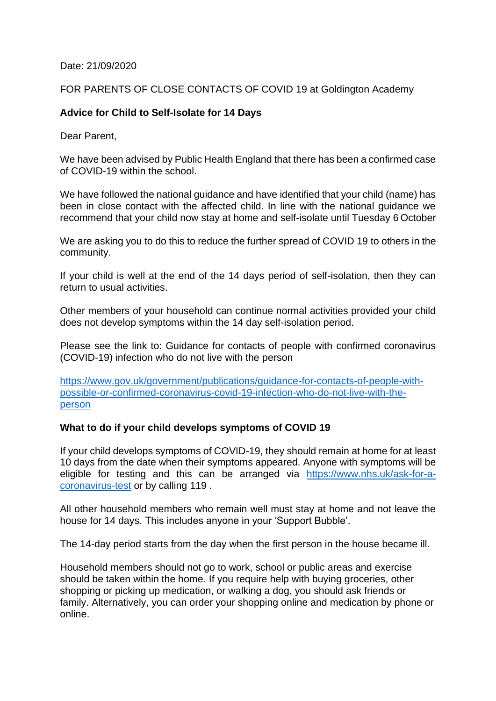#### Date: 21/09/2020

### FOR PARENTS OF CLOSE CONTACTS OF COVID 19 at Goldington Academy

## **Advice for Child to Self-Isolate for 14 Days**

Dear Parent,

We have been advised by Public Health England that there has been a confirmed case of COVID-19 within the school.

We have followed the national guidance and have identified that your child (name) has been in close contact with the affected child. In line with the national guidance we recommend that your child now stay at home and self-isolate until Tuesday 6 October

We are asking you to do this to reduce the further spread of COVID 19 to others in the community.

If your child is well at the end of the 14 days period of self-isolation, then they can return to usual activities.

Other members of your household can continue normal activities provided your child does not develop symptoms within the 14 day self-isolation period.

Please see the link to: Guidance for contacts of people with confirmed coronavirus (COVID-19) infection who do not live with the person

[https://www.gov.uk/government/publications/guidance-for-contacts-of-people-with](https://www.gov.uk/government/publications/guidance-for-contacts-of-people-with-possible-or-confirmed-coronavirus-covid-19-infection-who-do-not-live-with-the-person)[possible-or-confirmed-coronavirus-covid-19-infection-who-do-not-live-with-the](https://www.gov.uk/government/publications/guidance-for-contacts-of-people-with-possible-or-confirmed-coronavirus-covid-19-infection-who-do-not-live-with-the-person)[person](https://www.gov.uk/government/publications/guidance-for-contacts-of-people-with-possible-or-confirmed-coronavirus-covid-19-infection-who-do-not-live-with-the-person)

### **What to do if your child develops symptoms of COVID 19**

If your child develops symptoms of COVID-19, they should remain at home for at least 10 days from the date when their symptoms appeared. Anyone with symptoms will be eligible for testing and this can be arranged via [https://www.nhs.uk/ask-for-a](https://www.nhs.uk/ask-for-a-coronavirus-test)[coronavirus-test](https://www.nhs.uk/ask-for-a-coronavirus-test) or by calling 119.

All other household members who remain well must stay at home and not leave the house for 14 days. This includes anyone in your 'Support Bubble'.

The 14-day period starts from the day when the first person in the house became ill.

Household members should not go to work, school or public areas and exercise should be taken within the home. If you require help with buying groceries, other shopping or picking up medication, or walking a dog, you should ask friends or family. Alternatively, you can order your shopping online and medication by phone or online.